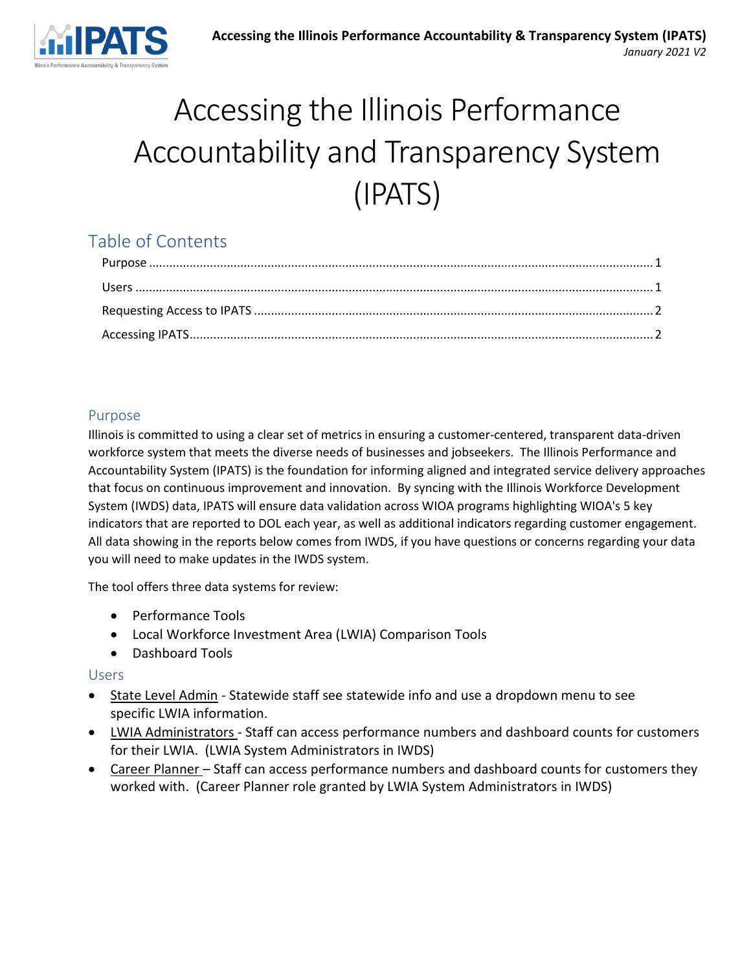

# Accessing the Illinois Performance Accountability and Transparency System (IPATS)

## Table of Contents

### <span id="page-0-0"></span>Purpose

Illinois is committed to using a clear set of metrics in ensuring a customer-centered, transparent data-driven workforce system that meets the diverse needs of businesses and jobseekers. The Illinois Performance and Accountability System (IPATS) is the foundation for informing aligned and integrated service delivery approaches that focus on continuous improvement and innovation. By syncing with the Illinois Workforce Development System (IWDS) data, IPATS will ensure data validation across WIOA programs highlighting WIOA's 5 key indicators that are reported to DOL each year, as well as additional indicators regarding customer engagement. All data showing in the reports below comes from IWDS, if you have questions or concerns regarding your data you will need to make updates in the IWDS system.

The tool offers three data systems for review:

- Performance Tools
- Local Workforce Investment Area (LWIA) Comparison Tools
- Dashboard Tools

#### <span id="page-0-1"></span>Users

- State Level Admin Statewide staff see statewide info and use a dropdown menu to see specific LWIA information.
- LWIA Administrators Staff can access performance numbers and dashboard counts for customers for their LWIA. (LWIA System Administrators in IWDS)
- Career Planner Staff can access performance numbers and dashboard counts for customers they worked with. (Career Planner role granted by LWIA System Administrators in IWDS)